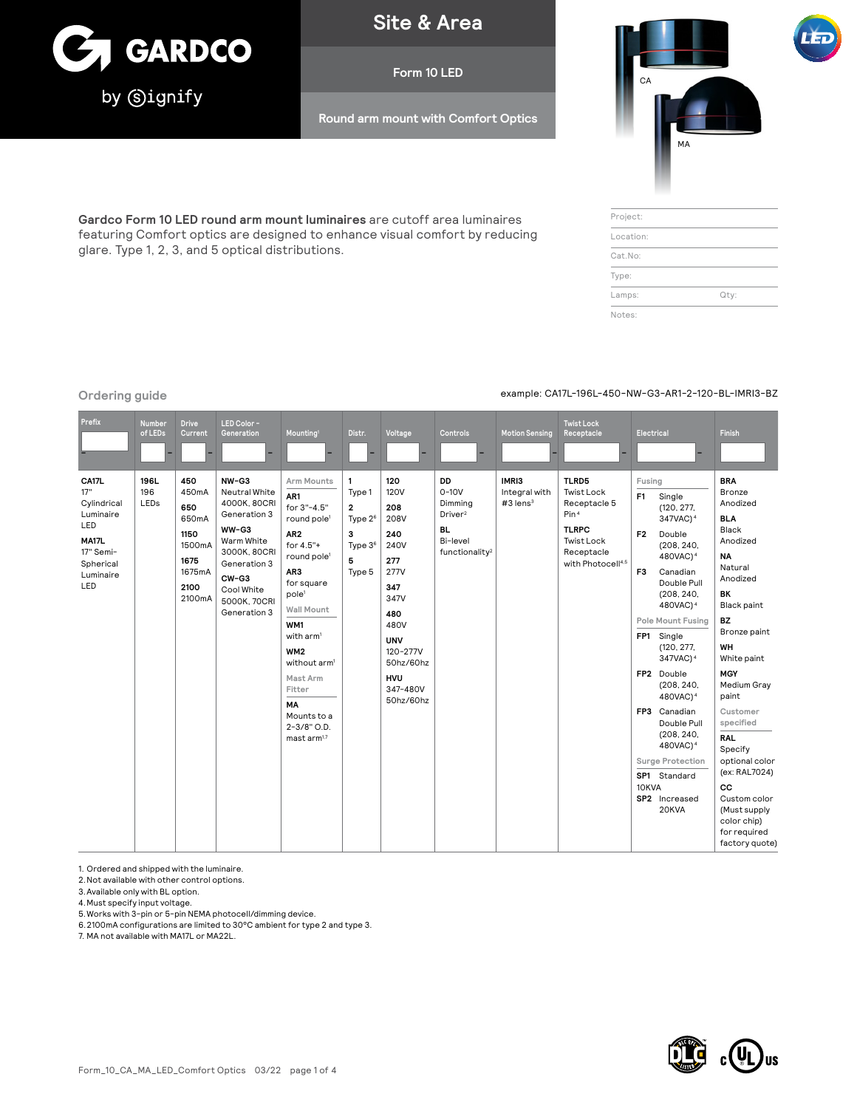

**Site & Area**

**Form 10 LED**

**Round arm mount with Comfort Optics**



| Project:  |      |
|-----------|------|
| Location: |      |
| Cat.No:   |      |
| Type:     |      |
| Lamps:    | Qty: |
| Notes:    |      |

# **Ordering guide** example: CA17L-196L-450-NW-G3-AR1-2-120-BL-IMRI3-BZ

**Gardco Form 10 LED round arm mount luminaires** are cutoff area luminaires featuring Comfort optics are designed to enhance visual comfort by reducing glare. Type 1, 2, 3, and 5 optical distributions.

| Prefix                                                                                                 | Number<br>of LEDs   | <b>Drive</b><br>Current                                                            | LED Color -<br>Generation                                                                                                                                              | Mounting <sup>1</sup>                                                                                                                                                                                                                                                                                                                                         | Distr.                                                                                 | Voltage                                                                                                                                                                            | Controls                                                                                               | <b>Motion Sensing</b>                            | <b>Twist Lock</b><br>Receptacle                                                                                                                    | Electrical                                                            |                                                                                                                                                                                                                                                                                                                                                                                                                               | Finish                                                                                                                                                                                                                                                                                                                                                                                                  |
|--------------------------------------------------------------------------------------------------------|---------------------|------------------------------------------------------------------------------------|------------------------------------------------------------------------------------------------------------------------------------------------------------------------|---------------------------------------------------------------------------------------------------------------------------------------------------------------------------------------------------------------------------------------------------------------------------------------------------------------------------------------------------------------|----------------------------------------------------------------------------------------|------------------------------------------------------------------------------------------------------------------------------------------------------------------------------------|--------------------------------------------------------------------------------------------------------|--------------------------------------------------|----------------------------------------------------------------------------------------------------------------------------------------------------|-----------------------------------------------------------------------|-------------------------------------------------------------------------------------------------------------------------------------------------------------------------------------------------------------------------------------------------------------------------------------------------------------------------------------------------------------------------------------------------------------------------------|---------------------------------------------------------------------------------------------------------------------------------------------------------------------------------------------------------------------------------------------------------------------------------------------------------------------------------------------------------------------------------------------------------|
| CA17L<br>17"<br>Cylindrical<br>Luminaire<br>LED<br>MA17L<br>17" Semi-<br>Spherical<br>Luminaire<br>LED | 196L<br>196<br>LEDs | 450<br>450mA<br>650<br>650mA<br>1150<br>1500mA<br>1675<br>1675mA<br>2100<br>2100mA | $NW-G3$<br>Neutral White<br>4000K, 80CRI<br>Generation 3<br>WW-G3<br>Warm White<br>3000K, 80CRI<br>Generation 3<br>CW-G3<br>Cool White<br>5000K, 70CRI<br>Generation 3 | Arm Mounts<br>AR1<br>for 3"-4.5"<br>round pole <sup>1</sup><br>AR <sub>2</sub><br>for 4.5"+<br>round pole <sup>1</sup><br>AR3<br>for square<br>pole <sup>1</sup><br>Wall Mount<br>WM1<br>with arm <sup>1</sup><br>WM <sub>2</sub><br>without arm <sup>1</sup><br>Mast Arm<br>Fitter<br><b>MA</b><br>Mounts to a<br>$2 - 3/8"$ O.D.<br>mast arm <sup>1,7</sup> | 1<br>Type 1<br>$\overline{2}$<br>Type $2^6$<br>з<br>Type 3 <sup>6</sup><br>5<br>Type 5 | 120<br><b>120V</b><br>208<br>208V<br>240<br>240V<br>277<br><b>277V</b><br>347<br>347V<br>480<br>480V<br><b>UNV</b><br>120-277V<br>50hz/60hz<br><b>HVU</b><br>347-480V<br>50hz/60hz | DD<br>$0-10V$<br>Dimming<br>Driver <sup>2</sup><br><b>BL</b><br>Bi-level<br>functionality <sup>2</sup> | IMRI3<br>Integral with<br>$#3$ lens <sup>3</sup> | TLRD5<br><b>Twist Lock</b><br>Receptacle 5<br>Pin <sup>4</sup><br><b>TLRPC</b><br><b>Twist Lock</b><br>Receptacle<br>with Photocell <sup>4,5</sup> | Fusing<br>F <sub>1</sub><br>F <sub>2</sub><br>F <sub>3</sub><br>10KVA | Single<br>(120, 277,<br>347VAC) <sup>4</sup><br>Double<br>(208, 240,<br>480VAC) <sup>4</sup><br>Canadian<br>Double Pull<br>(208, 240,<br>480VAC) <sup>4</sup><br>Pole Mount Fusing<br>FP1 Single<br>(120, 277,<br>347VAC) <sup>4</sup><br>FP2 Double<br>(208, 240,<br>480VAC) <sup>4</sup><br>FP3 Canadian<br>Double Pull<br>(208, 240,<br>480VAC) <sup>4</sup><br>Surge Protection<br>SP1 Standard<br>SP2 Increased<br>20KVA | <b>BRA</b><br>Bronze<br>Anodized<br><b>BLA</b><br>Black<br>Anodized<br><b>NA</b><br>Natural<br>Anodized<br>BK<br><b>Black paint</b><br><b>BZ</b><br>Bronze paint<br>WH<br>White paint<br><b>MGY</b><br>Medium Gray<br>paint<br>Customer<br>specified<br><b>RAL</b><br>Specify<br>optional color<br>(ex: RAL7024)<br>CC<br>Custom color<br>(Must supply<br>color chip)<br>for required<br>factory quote) |

1. Ordered and shipped with the luminaire.

2.Not available with other control options.

3.Available only with BL option.

4.Must specify input voltage.

5.Works with 3-pin or 5-pin NEMA photocell/dimming device.

6.2100mA configurations are limited to 30°C ambient for type 2 and type 3. 7. MA not available with MA17L or MA22L.

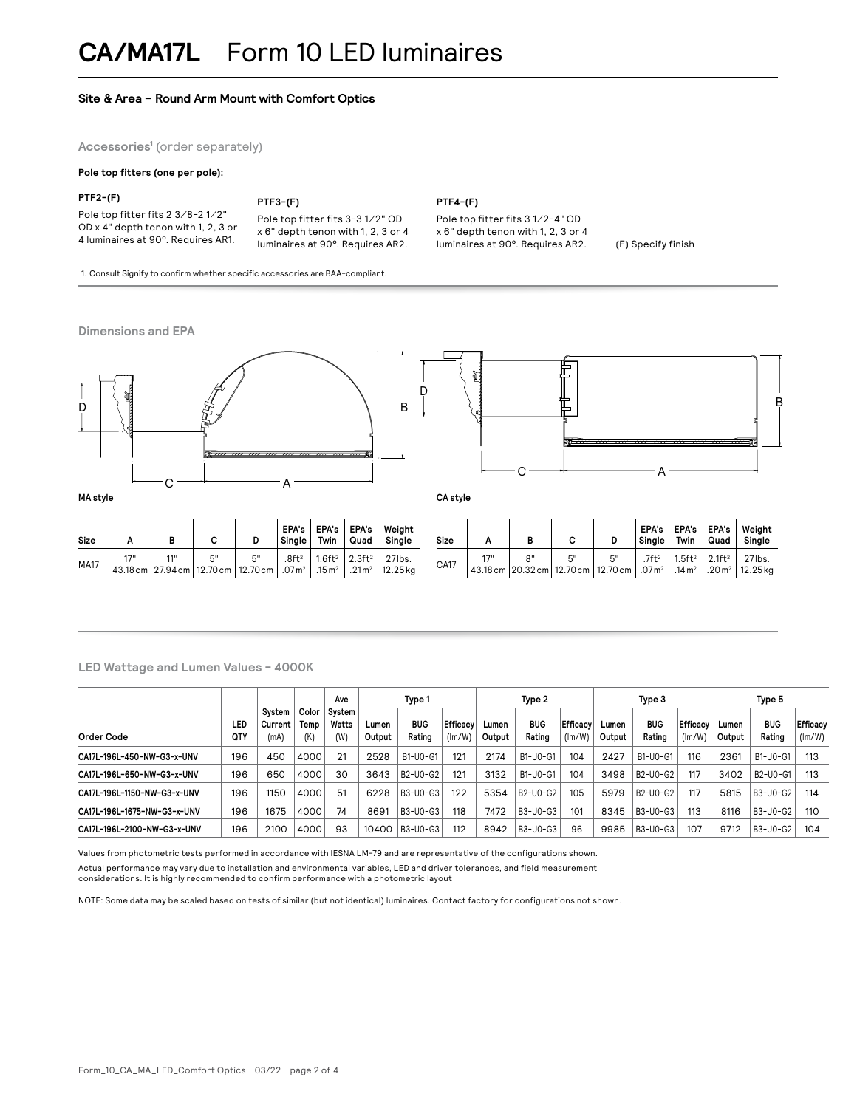# **Site & Area – Round Arm Mount with Comfort Optics**

**Accessories1** (order separately)

#### **Pole top fitters (one per pole):**

#### **PTF2-(F)**

Pole top fitter fits 2 3⁄8-2 1⁄2" OD x 4" depth tenon with 1, 2, 3 or 4 luminaires at 90°. Requires AR1.

# **PTF3-(F)**

Pole top fitter fits 3-3 1⁄2" OD x 6" depth tenon with 1, 2, 3 or 4 luminaires at 90°. Requires AR2.

1. Consult Signify to confirm whether specific accessories are BAA-compliant.

#### **Dimensions and EPA**



**PTF4-(F)**

Pole top fitter fits 3 1⁄2-4" OD x 6" depth tenon with 1, 2, 3 or 4

# **LED Wattage and Lumen Values - 4000K**

|                             |                   |                             |                      | Ave                    | Type 1          |                                                |                    | Type 2          |                      |                           | Type 3          |                      |                           | Type 5          |                      |                    |
|-----------------------------|-------------------|-----------------------------|----------------------|------------------------|-----------------|------------------------------------------------|--------------------|-----------------|----------------------|---------------------------|-----------------|----------------------|---------------------------|-----------------|----------------------|--------------------|
| Order Code                  | LED<br><b>QTY</b> | Svstem<br>Current  <br>(mA) | Color<br>Temp<br>(K) | Svstem<br>Watts<br>(W) | Lumen<br>Output | <b>BUG</b><br>Rating                           | Efficacy<br>(lm/W) | Lumen<br>Output | <b>BUG</b><br>Rating | <b>Efficacy</b><br>(lm/W) | Lumen<br>Output | <b>BUG</b><br>Rating | <b>Efficacy</b><br>(lm/W) | Lumen<br>Output | <b>BUG</b><br>Rating | Efficacy<br>(lm/W) |
| CA17L-196L-450-NW-G3-x-UNV  | 196               | 450                         | 4000                 | 21                     | 2528            | B1-U0-G1                                       | 121                | 2174            | B1-U0-G1             | 104                       | 2427            | B1-U0-G1             | 116                       | 2361            | B1-U0-G1             | 113                |
| CA17L-196L-650-NW-G3-x-UNV  | 196               | 650                         | 4000                 | 30                     | 3643            | B <sub>2</sub> -U <sub>0</sub> -G <sub>2</sub> | 121                | 3132            | B1-U0-G1             | 104                       | 3498            | B2-U0-G2             | 117                       | 3402            | B2-U0-G1             | 113                |
| CA17L-196L-1150-NW-G3-x-UNV | 196               | 1150                        | 4000                 | 51                     | 6228            | B3-U0-G3                                       | 122                | 5354            | B2-U0-G2             | 105                       | 5979            | B2-U0-G2             | 117                       | 5815            | B3-U0-G2             | 114                |
| CA17L-196L-1675-NW-G3-x-UNV | 196               | 1675                        | 4000                 | 74                     | 8691            | B3-U0-G3                                       | 118                | 7472            | B3-U0-G3             | 101                       | 8345            | B3-U0-G3             | 113                       | 8116            | B3-U0-G2             | 110                |
| CA17L-196L-2100-NW-G3-x-UNV | 196               | 2100                        | 4000                 | 93                     | 10400           | B3-U0-G3                                       | 112                | 8942            | B3-U0-G3             | 96                        | 9985            | B3-U0-G3             | 107                       | 9712            | B3-U0-G2             | 104                |

Values from photometric tests performed in accordance with IESNA LM-79 and are representative of the configurations shown. Actual performance may vary due to installation and environmental variables, LED and driver tolerances, and field measurement considerations. It is highly recommended to confirm performance with a photometric layout

NOTE: Some data may be scaled based on tests of similar (but not identical) luminaires. Contact factory for configurations not shown.

luminaires at 90°. Requires AR2. (F) Specify finish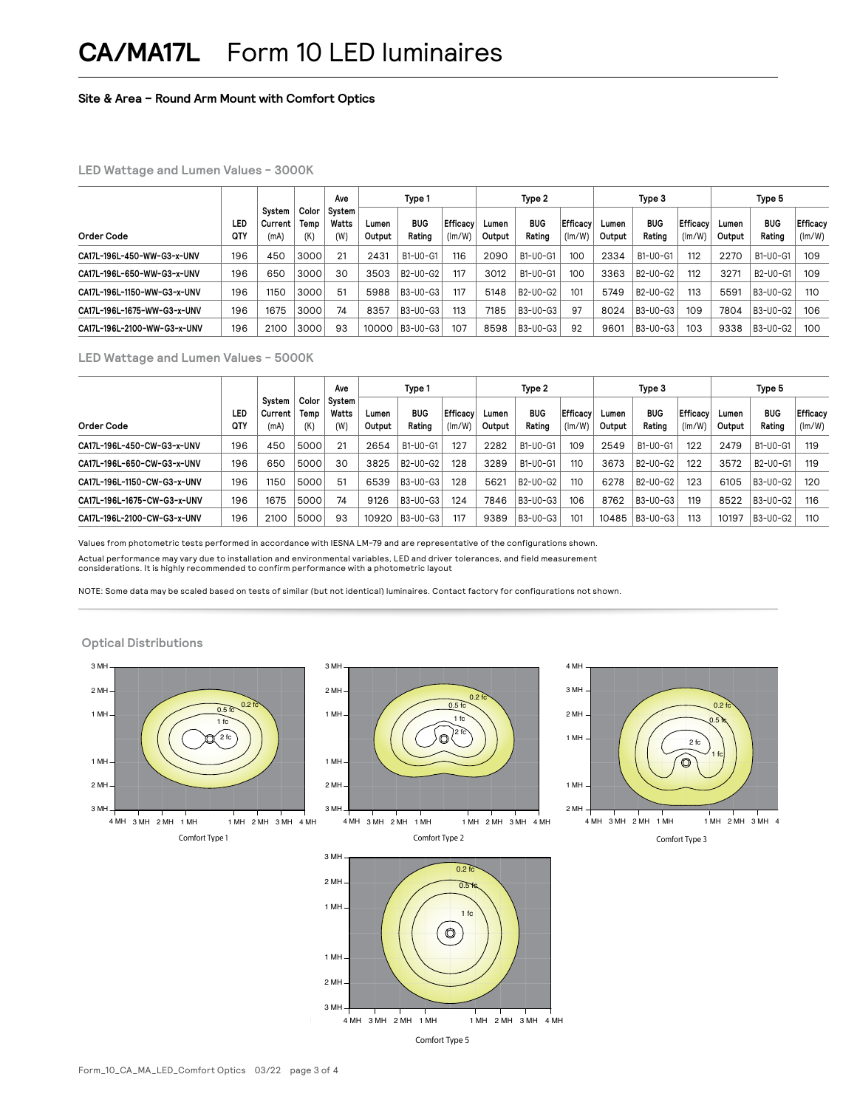# **Site & Area – Round Arm Mount with Comfort Optics**

# **LED Wattage and Lumen Values - 3000K**

|                             |            |                             | Ave                  | Type 1                 |                 |                      | Type 2             |                 |                      | Type 3             |                 |                      | Type 5                    |                 |                      |                    |
|-----------------------------|------------|-----------------------------|----------------------|------------------------|-----------------|----------------------|--------------------|-----------------|----------------------|--------------------|-----------------|----------------------|---------------------------|-----------------|----------------------|--------------------|
| Order Code                  | LED<br>QTY | System<br>Current  <br>(mA) | Color<br>Temp<br>(K) | Svstem<br>Watts<br>(W) | Lumen<br>Output | <b>BUG</b><br>Rating | Efficacy<br>(lm/W) | Lumen<br>Output | <b>BUG</b><br>Rating | Efficacv<br>(lm/W) | Lumen<br>Output | <b>BUG</b><br>Rating | <b>Efficacy</b><br>(lm/W) | Lumen<br>Output | <b>BUG</b><br>Rating | Efficacy<br>(lm/W) |
| CA17L-196L-450-WW-G3-x-UNV  | 196        | 450                         | 3000                 | 21                     | 2431            | B1-U0-G1             | 116                | 2090            | B1-U0-G1             | 100                | 2334            | B1-U0-G1             | 112                       | 2270            | B1-U0-G1             | 109                |
| CA17L-196L-650-WW-G3-x-UNV  | 196        | 650                         | 3000                 | 30                     | 3503            | B2-U0-G2             | 117                | 3012            | B1-U0-G1             | 100                | 3363            | B2-U0-G2             | 112                       | 3271            | B2-U0-G1             | 109                |
| CA17L-196L-1150-WW-G3-x-UNV | 196        | 1150                        | 3000                 | 51                     | 5988            | B3-U0-G3             | 117                | 5148            | B2-U0-G2             | 101                | 5749            | B2-U0-G2             | 113                       | 5591            | B3-U0-G2             | 110                |
| CA17L-196L-1675-WW-G3-x-UNV | 196        | 1675                        | 3000                 | 74                     | 8357            | B3-U0-G3             | 113                | 7185            | B3-U0-G3             | 97                 | 8024            | B3-U0-G3             | 109                       | 7804            | B3-U0-G2             | 106                |
| CA17L-196L-2100-WW-G3-x-UNV | 196        | 2100                        | 3000                 | 93                     | 10000           | B3-U0-G3             | 107                | 8598            | B3-U0-G3             | 92                 | 9601            | B3-U0-G3             | 103                       | 9338            | B3-U0-G2             | 100                |

## **LED Wattage and Lumen Values - 5000K**

|                             |            |                             |                      | Ave                    | Type 1          |                                                |                   | Type 2          |                      |                    | Type 3          |                                                |                           | Type 5          |                      |                    |
|-----------------------------|------------|-----------------------------|----------------------|------------------------|-----------------|------------------------------------------------|-------------------|-----------------|----------------------|--------------------|-----------------|------------------------------------------------|---------------------------|-----------------|----------------------|--------------------|
| Order Code                  | LED<br>QTY | System<br>Current  <br>(mA) | Color<br>Temp<br>(K) | System<br>Watts<br>(W) | Lumen<br>Output | <b>BUG</b><br>Rating                           | Efficacy<br>(lm/W | Lumen<br>Output | <b>BUG</b><br>Rating | Efficacv<br>(lm/W) | Lumen<br>Output | <b>BUG</b><br>Rating                           | <b>Efficacy</b><br>(lm/W) | Lumen<br>Output | <b>BUG</b><br>Rating | Efficacy<br>(lm/W) |
| CA17L-196L-450-CW-G3-x-UNV  | 196        | 450                         | 5000                 | 21                     | 2654            | B1-U0-G1                                       | 127               | 2282            | B1-U0-G1             | 109                | 2549            | B1-U0-G1                                       | 122                       | 2479            | B1-U0-G1             | 119                |
| CA17L-196L-650-CW-G3-x-UNV  | 196        | 650                         | 5000                 | 30                     | 3825            | B <sub>2</sub> -U <sub>0</sub> -G <sub>2</sub> | 128               | 3289            | B1-U0-G1             | 110                | 3673            | B <sub>2</sub> -U <sub>0</sub> -G <sub>2</sub> | 122                       | 3572            | B2-U0-G1             | 119                |
| CA17L-196L-1150-CW-G3-x-UNV | 196        | 1150                        | 5000                 | 51                     | 6539            | B3-U0-G3                                       | 128               | 5621            | B2-U0-G2             | 110                | 6278            | B2-U0-G2                                       | 123                       | 6105            | B3-U0-G2             | 120                |
| CA17L-196L-1675-CW-G3-x-UNV | 196        | 1675                        | 5000                 | 74                     | 9126            | B3-U0-G3                                       | 124               | 7846            | B3-U0-G3             | 106                | 8762            | B3-U0-G3                                       | 119                       | 8522            | B3-U0-G2             | 116                |
| CA17L-196L-2100-CW-G3-x-UNV | 196        | 2100                        | 5000                 | 93                     | 10920           | B3-U0-G3                                       | 117               | 9389            | B3-U0-G3             | 101                | 10485           | B3-U0-G3                                       | 113                       | 10197           | B3-U0-G2             | 110                |

Values from photometric tests performed in accordance with IESNA LM-79 and are representative of the configurations shown. Actual performance may vary due to installation and environmental variables, LED and driver tolerances, and field measurement considerations. It is highly recommended to confirm performance with a photometric layout

NOTE: Some data may be scaled based on tests of similar (but not identical) luminaires. Contact factory for configurations not shown.

# **Optical Distributions**